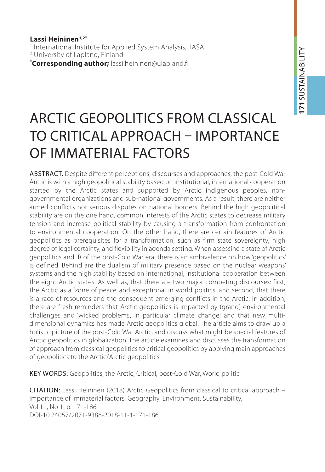**Lassi Heininen1,2\*** 1 International Institute for Applied System Analysis, IIASA 2 University of Lapland, Finland **\* Corresponding author;** lassi.heininen@ulapland.fi

# Arctic Geopolitics from classical to critical approach – importance of immaterial factors

Abstract. Despite different perceptions, discourses and approaches, the post-Cold War Arctic is with a high geopolitical stability based on institutional, international cooperation started by the Arctic states and supported by Arctic indigenous peoples, nongovernmental organizations and sub-national governments. As a result, there are neither armed conflicts nor serious disputes on national borders. Behind the high geopolitical stability are on the one hand, common interests of the Arctic states to decrease military tension and increase political stability by causing a transformation from confrontation to environmental cooperation. On the other hand, there are certain features of Arctic geopolitics as prerequisites for a transformation, such as firm state sovereignty, high degree of legal certainty, and flexibility in agenda setting. When assessing a state of Arctic geopolitics and IR of the post-Cold War era, there is an ambivalence on how 'geopolitics' is defined. Behind are the dualism of military presence based on the nuclear weapons' systems and the high stability based on international, institutional cooperation between the eight Arctic states. As well as, that there are two major competing discourses: first, the Arctic as a 'zone of peace' and exceptional in world politics, and second, that there is a race of resources and the consequent emerging conflicts in the Arctic. In addition, there are fresh reminders that Arctic geopolitics is impacted by (grand) environmental challenges and 'wicked problems', in particular climate change; and that new multidimensional dynamics has made Arctic geopolitics global. The article aims to draw up a holistic picture of the post-Cold War Arctic, and discuss what might be special features of Arctic geopolitics in globalization. The article examines and discusses the transformation of approach from classical geopolitics to critical geopolitics by applying main approaches of geopolitics to the Arctic/Arctic geopolitics.

KEY WORDS: Geopolitics, the Arctic, Critical, post-Cold War, World politic

Citation: Lassi Heininen (2018) Arctic Geopolitics from classical to critical approach – importance of immaterial factors. Geography, Environment, Sustainability, Vol.11, No 1, p. 171-186 DOI-10.24057/2071-9388-2018-11-1-171-186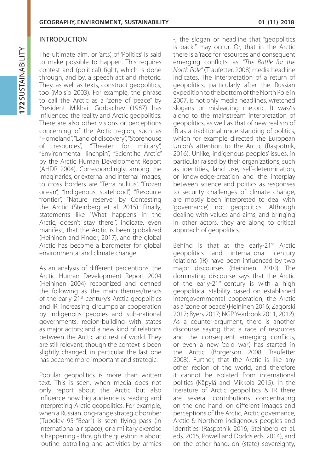#### **INTRODUCTION**

The ultimate aim, or 'arts', of 'Politics' is said to make possible to happen. This requires contest and (political) fight, which is done through, and by, a speech act and rhetoric. They, as well as texts, construct geopolitics, too (Moisio 2003). For example, the phrase to call the Arctic as a "zone of peace" by President Mikhail Gorbachev (1987) has influenced the reality and Arctic geopolitics. There are also other visions or perceptions concerning of the Arctic region, such as "Homeland", "Land of discovery", "Storehouse of resources", "Theater for military", "Environmental linchpin", "Scientific Arctic" by the Arctic Human Development Report (AHDR 2004). Correspondingly, among the imaginaries, or external and internal images, to cross borders are "Terra nullius", "Frozen ocean", "Indigenous statehood", "Resource frontier", "Nature reserve" by Contesting the Arctic (Steinberg et al. 2015). Finally, statements like "What happens in the Arctic, doesn't stay there!", indicate, even manifest, that the Arctic is been globalized (Heininen and Finger, 2017), and the global Arctic has become a barometer for global environmental and climate change.

As an analysis of different perceptions, the Arctic Human Development Report 2004 (Heininen 2004) recognized and defined the following as the main themes/trends of the early-21<sup>st</sup> century's Arctic geopolitics and IR: increasing circumpolar cooperation by indigenous peoples and sub-national governments; region-building with states as major actors; and a new kind of relations between the Arctic and rest of world. They are still relevant, though the context is been slightly changed, in particular the last one has become more important and strategic.

Popular geopolitics is more than written text. This is seen, when media does not only report about the Arctic but also influence how big audience is reading and interpreting Arctic geopolitics. For example, when a Russian long-range strategic bomber (Tupolev 95 "Bear") is seen flying pass (in international air space), or a military exercise is happening - though the question is about routine patrolling and activities by armies -, the slogan or headline that "geopolitics is back!" may occur. Or, that in the Arctic there is a 'race' for resources and consequent emerging conflicts, as *"The Battle for the North Pole"* (Traufetter, 2008) media headline indicates. The interpretation of a return of geopolitics, particularly after the Russian expedition to the bottom of the North Pole in 2007, is not only media headlines, wretched slogans or misleading rhetoric. It was/is along to the mainstream interpretation of geopolitics, as well as that of new realism of IR as a traditional understanding of politics, which for example directed the European Union's attention to the Arctic (Raspotnik, 2016). Unlike, indigenous peoples' issues, in particular raised by their organizations, such as identities, land use, self-determination, or knowledge-creation and the interplay between science and politics as responses to security challenges of climate change, are mostly been interpreted to deal with 'governance', not geopolitics. Although dealing with values and aims, and bringing in other actors, they are along to critical approach of geopolitics.

Behind is that at the early-21<sup>st</sup> Arctic geopolitics and international century relations (IR) have been influenced by two major discourses (Heininen, 2010): The dominating discourse says that the Arctic of the early-21 $st$  century is with a high geopolitical stability based on established intergovernmental cooperation, the Arctic as a 'zone of peace' (Heininen 2016; Zagorski 2017; Byers 2017; NGP Yearbook 2011, 2012). As a counter-argument, there is another discourse saying that a race of resources and the consequent emerging conflicts, or even a new 'cold war', has started in the Arctic (Borgerson 2008; Traufetter 2008). Further, that the Arctic is like any other region of the world, and therefore it cannot be isolated from international politics (Käpylä and Mikkola 2015). In the literature of Arctic geopolitics & IR there are several contributions concentrating on the one hand, on different images and perceptions of the Arctic, Arctic governance, Arctic & Northern indigenous peoples and identities (Raspotnik 2016; Steinberg et al. eds. 2015; Powell and Dodds eds. 2014), and on the other hand, on (state) sovereignty,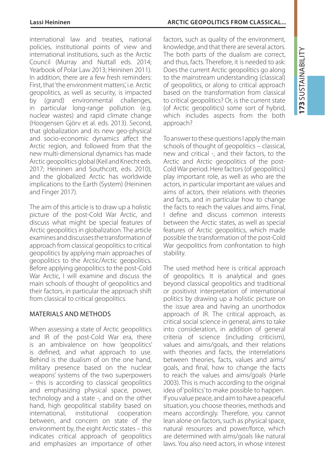international law and treaties, national policies, institutional points of view and international institutions, such as the Arctic Council (Murray and Nuttall eds. 2014; Yearbook of Polar Law 2013; Heininen 2011). In addition, there are a few fresh reminders: First, that 'the environment matters', i.e. Arctic geopolitics, as well as security, is impacted by (grand) environmental challenges, in particular long-range pollution (e.g. nuclear wastes) and rapid climate change (Hoogensen Gjörv et al. eds. 2013). Second, that globalization and its new geo-physical and socio-economic dynamics affect the Arctic region, and followed from that the new multi-dimensional dynamics has made Arctic geopolitics global (Keil and Knecht eds. 2017; Heininen and Southcott, eds. 2010), and the globalized Arctic has worldwide implications to the Earth (System) (Heininen and Finger 2017).

The aim of this article is to draw up a holistic picture of the post-Cold War Arctic, and discuss what might be special features of Arctic geopolitics in globalization. The article examines and discusses the transformation of approach from classical geopolitics to critical geopolitics by applying main approaches of geopolitics to the Arctic/Arctic geopolitics. Before applying geopolitics to the post-Cold War Arctic, I will examine and discuss the main schools of thought of geopolitics and their factors, in particular the approach shift from classical to critical geopolitics.

## Materials and methods

When assessing a state of Arctic geopolitics and IR of the post-Cold War era, there is an ambivalence on how 'geopolitics' is defined, and what approach to use. Behind is the dualism of on the one hand, military presence based on the nuclear weapons' systems of the two superpowers – this is according to classical geopolitics and emphasizing physical space, power, technology and a state -, and on the other hand, high geopolitical stability based on international, institutional cooperation between, and concern on state of the environment by, the eight Arctic states – this indicates critical approach of geopolitics and emphasizes an importance of other factors, such as quality of the environment. knowledge, and that there are several actors. The both parts of the dualism are correct, and thus, facts. Therefore, it is needed to ask: Does the current Arctic geopolitics go along to the mainstream understanding (classical) of geopolitics, or along to critical approach based on the transformation from classical to critical geopolitics? Or, is the current state (of Arctic geopolitics) some sort of hybrid, which includes aspects from the both approach?

To answer to these questions I apply the main schools of thought of geopolitics – classical, new and critical -, and their factors, to the Arctic and Arctic geopolitics of the post-Cold War period. Here factors (of geopolitics) play important role, as well as who are the actors, in particular important are values and aims of actors, their relations with theories and facts, and in particular how to change the facts to reach the values and aims. Final, I define and discuss common interests between the Arctic states, as well as special features of Arctic geopolitics, which made possible the transformation of the post-Cold War geopolitics from confrontation to high stability.

The used method here is critical approach of geopolitics. It is analytical and goes beyond classical geopolitics and traditional or positivist interpretation of international politics by drawing up a holistic picture on the issue area and having an unorthodox approach of IR. The critical approach, as critical social science in general, aims to take into consideration, in addition of general criteria of science (including criticism), values and aims/goals, and their relations with theories and facts, the interrelations between theories, facts, values and aims/ goals, and final, how to change the facts to reach the values and aims/goals (Harle 2003). This is much according to the original idea of 'politics' to make possible to happen. If you value peace, and aim to have a peaceful situation, you choose theories, methods and means accordingly. Therefore, you cannot lean alone on factors, such as physical space, natural resources and power/force, which are determined with aims/goals like natural laws. You also need actors, in whose interest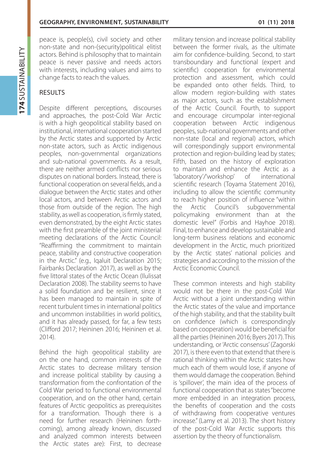peace is, people(s), civil society and other non-state and non-(security)political elitist actors. Behind is philosophy that to maintain peace is never passive and needs actors with interests, including values and aims to change facts to reach the values.

# **RESULTS**

Despite different perceptions, discourses and approaches, the post-Cold War Arctic is with a high geopolitical stability based on institutional, international cooperation started by the Arctic states and supported by Arctic non-state actors, such as Arctic indigenous peoples, non-governmental organizations and sub-national governments. As a result, there are neither armed conflicts nor serious disputes on national borders. Instead, there is functional cooperation on several fields, and a dialogue between the Arctic states and other local actors, and between Arctic actors and those from outside of the region. The high stability, as well as cooperation, is firmly stated, even demonstrated, by the eight Arctic states with the first preamble of the joint ministerial meeting declarations of the Arctic Council: "Reaffirming the commitment to maintain peace, stability and constructive cooperation in the Arctic." (e.g., Igaluit Declaration 2015; Fairbanks Declaration 2017), as well as by the five littoral states of the Arctic Ocean (Ilulissat Declaration 2008). The stability seems to have a solid foundation and be resilient, since it has been managed to maintain in spite of recent turbulent times in international politics and uncommon instabilities in world politics, and it has already passed, for far, a few tests (Clifford 2017; Heininen 2016; Heininen et al. 2014).

Behind the high geopolitical stability are on the one hand, common interests of the Arctic states to decrease military tension and increase political stability by causing a transformation from the confrontation of the Cold War period to functional environmental cooperation, and on the other hand, certain features of Arctic geopolitics as prerequisites for a transformation. Though there is a need for further research (Heininen forthcoming), among already known, discussed and analyzed common interests between the Arctic states are): First, to decrease

military tension and increase political stability between the former rivals, as the ultimate aim for confidence-building. Second, to start transboundary and functional (expert and scientific) cooperation for environmental protection and assessment, which could be expanded onto other fields. Third, to allow modern region-building with states as major actors, such as the establishment of the Arctic Council. Fourth, to support and encourage circumpolar inter-regional cooperation between Arctic indigenous peoples, sub-national governments and other non-state (local and regional) actors, which will correspondingly support environmental protection and region-building lead by states; Fifth, based on the history of exploration to maintain and enhance the Arctic as a 'laboratory'/'workshop' of international scientific research (Toyama Statement 2016), including to allow the scientific community to reach higher position of influence "within the Arctic Council's subgovernmental policymaking environment than at the domestic level" (Forbis and Hayhoe 2018). Final, to enhance and develop sustainable and long-term business relations and economic development in the Arctic, much prioritized by the Arctic states' national policies and strategies and according to the mission of the Arctic Economic Council.

These common interests and high stability would not be there in the post-Cold War Arctic without a joint understanding within the Arctic states of the value and importance of the high stability, and that the stability built on confidence (which is correspondingly based on cooperation) would be beneficial for all the parties (Heininen 2016; Byers 2017). This understanding, or 'Arctic consensus' (Zagorski 2017), is there even to that extend that there is rational thinking within the Arctic states how much each of them would lose, if anyone of them would damage the cooperation. Behind is 'spillover', the main idea of the process of functional cooperation that as states "become more embedded in an integration process, the benefits of cooperation and the costs of withdrawing from cooperative ventures increase." (Lamy et al. 2013). The short history of the post-Cold War Arctic supports this assertion by the theory of functionalism.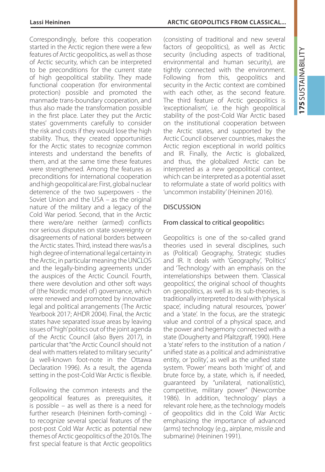Correspondingly, before this cooperation started in the Arctic region there were a few features of Arctic geopolitics, as well as those of Arctic security, which can be interpreted to be preconditions for the current state of high geopolitical stability. They made functional cooperation (for environmental protection) possible and promoted the manmade trans-boundary cooperation, and thus also made the transformation possible in the first place. Later they put the Arctic states' governments carefully to consider the risk and costs if they would lose the high stability. Thus, they created opportunities for the Arctic states to recognize common interests and understand the benefits of them, and at the same time these features were strengthened. Among the features as preconditions for international cooperation and high geopolitical are: First, global nuclear deterrence of the two superpowers - the Soviet Union and the USA – as the original nature of the military and a legacy of the Cold War period. Second, that in the Arctic there were/are neither (armed) conflicts nor serious disputes on state sovereignty or disagreements of national borders between the Arctic states. Third, instead there was/is a high degree of international legal certainty in the Arctic, in particular meaning the UNCLOS and the legally-binding agreements under the auspices of the Arctic Council. Fourth, there were devolution and other soft ways of (the Nordic model of) governance, which were renewed and promoted by innovative legal and political arrangements (The Arctic Yearbook 2017; AHDR 2004). Final, the Arctic states have separated issue areas by leaving issues of 'high' politics out of the joint agenda of the Arctic Council (also Byers 2017), in particular that "the Arctic Council should not deal with matters related to military security" (a well-known foot-note in the Ottawa Declaration 1996). As a result, the agenda setting in the post-Cold War Arctic is flexible.

Following the common interests and the geopolitical features as prerequisites, it is possible – as well as there is a need for further research (Heininen forth-coming) to recognize several special features of the post-post Cold War Arctic as potential new themes of Arctic geopolitics of the 2010s. The first special feature is that Arctic geopolitics

#### **Lassi Heininen Arctic Geopolitics from classical...**

(consisting of traditional and new several factors of geopolitics), as well as Arctic security (including aspects of traditional, environmental and human security), are tightly connected with the environment. Following from this, geopolitics and security in the Arctic context are combined with each other, as the second feature. The third feature of Arctic geopolitics is 'exceptionalism', i.e. the high geopolitical stability of the post-Cold War Arctic based on the institutional cooperation between the Arctic states, and supported by the Arctic Council observer countries, makes the Arctic region exceptional in world politics and IR. Finally, the Arctic is globalized, and thus, the globalized Arctic can be interpreted as a new geopolitical context, which can be interpreted as a potential asset to reformulate a state of world politics with 'uncommon instability' (Heininen 2016).

# Discussion

# From classical to critical geopolitics

Geopolitics is one of the so-called grand theories used in several disciplines, such as (Political) Geography, Strategic studies and IR. It deals with 'Geography', 'Politics' and 'Technology' with an emphasis on the interrelationships between them. 'Classical geopolitics', the original school of thoughts on geopolitics, as well as its sub-theories, is traditionally interpreted to deal with 'physical space', including natural resources, 'power' and a 'state'. In the focus, are the strategic value and control of a physical space, and the power and hegemony connected with a state (Dougherty and Pfaltzgraff, 1990). Here a 'state' refers to the institution of a nation / unified state as a political and administrative entity, or 'polity', as well as the unified state system. 'Power' means both 'might' of, and brute force by, a state, which is, if needed, guaranteed by "unilateral, national(istic), competitive, military power" (Newcombe 1986). In addition, 'technology' plays a relevant role here, as the technology models of geopolitics did in the Cold War Arctic emphasizing the importance of advanced (arms) technology (e.g., airplane, missile and submarine) (Heininen 1991).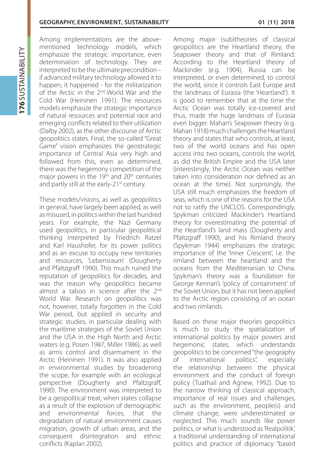Among implementations are the abovementioned technology models, which emphasize the strategic importance, even determination of technology. They are interpreted to be the ultimate precondition – if advanced military technology allowed it to happen, it happened - for the militarization of the Arctic in the 2nd World War and the Cold War (Heininen 1991). The resources models emphasize the strategic importance of natural resources and potential race and emerging conflicts related to their utilization (Dalby 2002), as the other discourse of Arctic geopolitics states. Final, the so-called "Great Game" vision emphasizes the geostrategic importance of Central Asia very high and followed from this, even as determined, there was the hegemony competition of the major powers in the 19<sup>th</sup> and 20<sup>th</sup> centuries and partly still at the early-21<sup>st</sup> century.

These models/visions, as well as geopolitics in general, have largely been applied, as well as misused, in politics within the last hundred years. For example, the Nazi Germany used geopolitics, in particular geopolitical thinking interpreted by Friedrich Ratzel and Karl Haushofer, for its power politics and as an excuse to occupy new territories and resources, 'Lebensraum' (Dougherty and Pfaltzgraff 1990). This much ruined the reputation of geopolitics for decades, and was the reason why geopolitics became almost a taboo in science after the 2<sup>nd</sup> World War. Research on geopolitics was not, however, totally forgotten in the Cold War period, but applied in security and strategic studies, in particular dealing with the maritime strategies of the Soviet Union and the USA in the High North and Arctic waters (e.g. Posen 1987; Miller 1986), as well as arms control and disarmament in the Arctic (Heininen 1991). It was also applied in environmental studies by broadening the scope, for example with an ecological perspective (Dougherty and Pfaltzgraff, 1990). The environment was interpreted to be a geopolitical treat, when states collapse as a result of the explosion of demographic and environmental forces, that the degradation of natural environment causes migration, growth of urban areas, and the consequent disintegration and ethnic conflicts (Kaplan 2002).

Among major (sub)theories of classical geopolitics are the Heartland theory, the Seapower theory and that of Rimland: According to the Heartland theory of Mackinder (e.g. 1904), Russia can be interpreted, or even determined, to control the world, since it controls East Europe and the landmass of Eurasia (the 'Heartland'). It is good to remember that at the time the Arctic Ocean was totally ice-covered and thus, made the huge landmass of Eurasia even bigger. Mahan's Seapower theory (e.g. Mahan 1918) much challenges the Heartland theory and states that who controls, at least, two of the world oceans and has open access into two oceans, controls the world, as did the British Empire and the USA later (interestingly, the Arctic Ocean was neither taken into consideration nor defined as an ocean at the time). Not surprisingly, the USA still much emphasizes the freedom of seas, which is one of the reasons for the USA not to ratify the UNCLOS. Correspondingly, Spykman criticized Mackinder's Heartland theory for overestimating the potential of the Heartland's land mass (Dougherty and Pfaltzgraff 1990), and his Rimland theory (Spykman 1944) emphasizes the strategic importance of the 'Inner Crescent', i.e. the rimland between the heartland and the oceans from the Mediterranian to China. Spykman's theory was a foundation for George Kennan's 'policy of containment' of the Soviet Union, but it has not been applied to the Arctic region consisting of an ocean and two rimlands.

Based on these major theories geopolitics is much to study the spatialization of international politics by major powers and hegemonic states, which understands geopolitics to be concerned "the geography of international politics", especially the relationship between the physical environment and the conduct of foreign policy (Tuathail and Agnew, 1992). Due to the narrow thinking of classical approach, importance of real issues and challenges, such as the environment, people(s) and climate change, were underestimated or neglected. This much sounds like power politics, or what is understood as 'Realpolitik', a traditional understanding of international politics and practice of diplomacy "based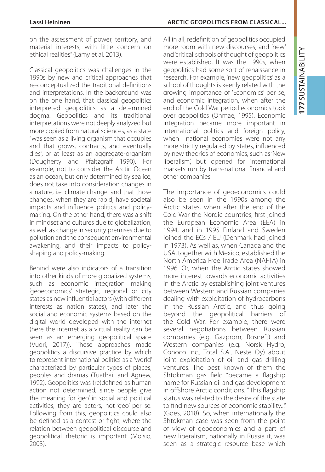on the assessment of power, territory, and material interests, with little concern on ethical realities" (Lamy et al. 2013).

Classical geopolitics was challenges in the 1990s by new and critical approaches that re-conceptualized the traditional definitions and interpretations. In the background was on the one hand, that classical geopolitics interpreted geopolitics as a determined dogma. Geopolitics and its traditional interpretations were not deeply analyzed but more copied from natural sciences, as a state "was seen as a living organism that occupies and that grows, contracts, and eventually dies", or at least as an aggregate-organism (Dougherty and Pfaltzgraff 1990). For example, not to consider the Arctic Ocean as an ocean, but only determined by sea ice, does not take into consideration changes in a nature, i.e. climate change, and that those changes, when they are rapid, have societal impacts and influence politics and policymaking. On the other hand, there was a shift in mindset and cultures due to globalization, as well as change in security premises due to pollution and the consequent environmental awakening, and their impacts to policyshaping and policy-making.

Behind were also indicators of a transition into other kinds of more globalized systems, such as economic integration making 'geoeconomics' strategic, regional or city states as new influential actors (with different interests as nation states), and later the social and economic systems based on the digital world developed with the internet (here the internet as a virtual reality can be seen as an emerging geopolitical space (Vuori, 2017)). These approaches made geopolitics a discursive practice by which to represent international politics as a 'world' characterized by particular types of places, peoples and dramas (Tuathail and Agnew, 1992). Geopolitics was (re)defined as human action not determined, since people give the meaning for 'geo' in social and political activities, they are actors, not 'geo' per se. Following from this, geopolitics could also be defined as a contest or fight, where the relation between geopolitical discourse and geopolitical rhetoric is important (Moisio, 2003).

#### **Lassi Heininen Arctic Geopolitics from classical...**

All in all, redefinition of geopolitics occupied more room with new discourses, and 'new' and 'critical' schools of thought of geopolitics were established. It was the 1990s, when geopolitics had some sort of renaissance in research. For example, 'new geopolitics' as a school of thoughts is keenly related with the growing importance of 'Economics' per se, and economic integration, when after the end of the Cold War period economics took over geopolitics (Ohmae, 1995). Economic integration became more important in international politics and foreign policy, when national economies were not any more strictly regulated by states, influenced by new theories of economics, such as 'New liberalism', but opened for international markets run by trans-national financial and other companies.

The importance of geoeconomics could also be seen in the 1990s among the Arctic states, when after the end of the Cold War the Nordic countries, first joined the European Economic Area (EEA) in 1994, and in 1995 Finland and Sweden joined the ECs / EU (Denmark had joined in 1973). As well as, when Canada and the USA, together with Mexico, established the North America Free Trade Area (NAFTA) in 1996. Or, when the Arctic states showed more interest towards economic activities in the Arctic by establishing joint ventures between Western and Russian companies dealing with exploitation of hydrocarbons in the Russian Arctic, and thus going beyond the geopolitical barriers of the Cold War. For example, there were several negotiations between Russian companies (e.g. Gazprom, Rosneft) and Western companies (e.g. Norsk Hydro, Conoco Inc., Total S.A., Neste Oy) about joint exploitation of oil and gas drilling ventures. The best known of them the Shtokman gas field "became a flagship name for Russian oil and gas development in offshore Arctic conditions. " This flagship status was related to the desire of the state to find new sources of economic stability..." (Goes, 2018). So, when internationally the Shtokman case was seen from the point of view of geoeconomics and a part of new liberalism, nationally in Russia it, was seen as a strategic resource base which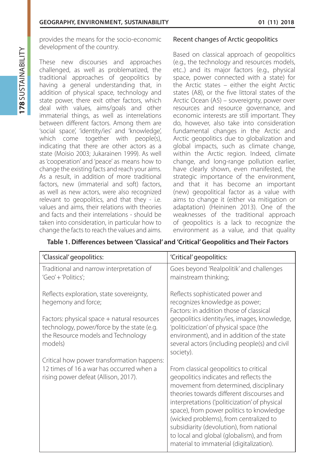provides the means for the socio-economic development of the country.

These new discourses and approaches challenged, as well as problematized, the traditional approaches of geopolitics by having a general understanding that, in addition of physical space, technology and state power, there exit other factors, which deal with values, aims/goals and other immaterial things, as well as interrelations between different factors. Among them are 'social space', 'identity/ies' and 'knowledge', which come together with people(s), indicating that there are other actors as a state (Moisio 2003; Jukarainen 1999). As well as 'cooperation' and 'peace' as means how to change the existing facts and reach your aims. As a result, in addition of more traditional factors, new (immaterial and soft) factors, as well as new actors, were also recognized relevant to geopolitics, and that they - i.e. values and aims, their relations with theories and facts and their interrelations - should be taken into consideration, in particular how to change the facts to reach the values and aims.

## Recent changes of Arctic geopolitics

Based on classical approach of geopolitics (e.g., the technology and resources models, etc..) and its major factors (e.g., physical space, power connected with a state) for the Arctic states – either the eight Arctic states (A8), or the five littoral states of the Arctic Ocean (A5) – sovereignty, power over resources and resource governance, and economic interests are still important. They do, however, also take into consideration fundamental changes in the Arctic and Arctic geopolitics due to globalization and global impacts, such as climate change, within the Arctic region. Indeed, climate change, and long-range pollution earlier, have clearly shown, even manifested, the strategic importance of the environment, and that it has become an important (new) geopolitical factor as a value with aims to change it (either via mitigation or adaptation) (Heininen 2013). One of the weaknesses of the traditional approach of geopolitics is a lack to recognize the environment as a value, and that quality

| 'Classical' geopolitics:                                                                                                                   | 'Critical' geopolitics:                                                                                                                                                                                                                                                                                                                                                                                                                             |
|--------------------------------------------------------------------------------------------------------------------------------------------|-----------------------------------------------------------------------------------------------------------------------------------------------------------------------------------------------------------------------------------------------------------------------------------------------------------------------------------------------------------------------------------------------------------------------------------------------------|
| Traditional and narrow interpretation of<br>'Geo' + 'Politics';                                                                            | Goes beyond 'Realpolitik' and challenges<br>mainstream thinking;                                                                                                                                                                                                                                                                                                                                                                                    |
| Reflects exploration, state sovereignty,<br>hegemony and force;                                                                            | Reflects sophisticated power and<br>recognizes knowledge as power;<br>Factors: in addition those of classical                                                                                                                                                                                                                                                                                                                                       |
| Factors: physical space + natural resources<br>technology, power/force by the state (e.g.<br>the Resource models and Technology<br>models) | geopolitics identity/ies, images, knowledge,<br>'politicization' of physical space (the<br>environment), and in addition of the state<br>several actors (including people(s) and civil<br>society).                                                                                                                                                                                                                                                 |
| Critical how power transformation happens:<br>12 times of 16 a war has occurred when a<br>rising power defeat (Allison, 2017).             | From classical geopolitics to critical<br>geopolitics indicates and reflects the<br>movement from determined, disciplinary<br>theories towards different discourses and<br>interpretations ('politicization' of physical<br>space), from power politics to knowledge<br>(wicked problems), from centralized to<br>subsidiarity (devolution), from national<br>to local and global (globalism), and from<br>material to immaterial (digitalization). |

## **Table 1. Differences between 'Classical' and 'Critical' Geopolitics and Their Factors**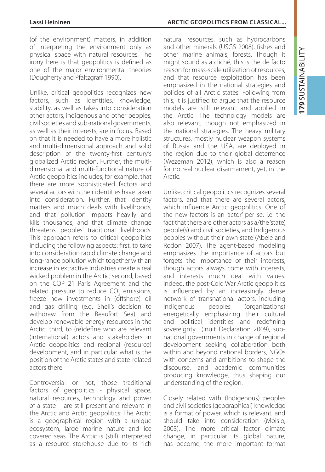(of the environment) matters, in addition of interpreting the environment only as physical space with natural resources. The irony here is that geopolitics is defined as one of the major environmental theories (Dougherty and Pfaltzgraff 1990).

Unlike, critical geopolitics recognizes new factors, such as identities, knowledge, stability, as well as takes into consideration other actors, indigenous and other peoples, civil societies and sub-national governments, as well as their interests, are in focus. Based on that it is needed to have a more holistic and multi-dimensional approach and solid description of the twenty-first century's globalized Arctic region. Further, the multidimensional and multi-functional nature of Arctic geopolitics includes, for example, that there are more sophisticated factors and several actors with their identities have taken into consideration. Further, that identity matters and much deals with livelihoods, and that pollution impacts heavily and kills thousands, and that climate change threatens peoples' traditional livelihoods. This approach refers to critical geopolitics including the following aspects: first, to take into consideration rapid climate change and long-range pollution which together with an increase in extractive industries create a real wicked problem in the Arctic; second, based on the COP 21 Paris Agreement and the related pressure to reduce  $CO<sub>2</sub>$  emissions, freeze new investments in (offshore) oil and gas drilling (e.g. Shell's decision to withdraw from the Beaufort Sea) and develop renewable energy resources in the Arctic; third, to (re)define who are relevant (international) actors and stakeholders in Arctic geopolitics and regional (resource) development, and in particular what is the position of the Arctic states and state-related actors there.

Controversial or not, those traditional factors of geopolitics - physical space, natural resources, technology and power of a state – are still present and relevant in the Arctic and Arctic geopolitics: The Arctic is a geographical region with a unique ecosystem, large marine nature and ice covered seas. The Arctic is (still) interpreted as a resource storehouse due to its rich

#### **Lassi Heininen Arctic Geopolitics from classical...**

natural resources, such as hydrocarbons and other minerals (USGS 2008), fishes and other marine animals, forests. Though it might sound as a cliché, this is the de facto reason for mass-scale utilization of resources, and that resource exploitation has been emphasized in the national strategies and policies of all Arctic states. Following from this, it is justified to argue that the resource models are still relevant and applied in the Arctic. The technology models are also relevant, though not emphasized in the national strategies. The heavy military structures, mostly nuclear weapon systems of Russia and the USA, are deployed in the region due to their global deterrence (Wezeman 2012), which is also a reason for no real nuclear disarmament, yet, in the Arctic.

Unlike, critical geopolitics recognizes several factors, and that there are several actors, which influence Arctic geopolitics. One of the new factors is an 'actor' per se, i.e. the fact that there are other actors as a/the 'state', people(s) and civil societies, and Indigenous peoples without their own state (Abele and Rodon 2007). The agent-based modeling emphasizes the importance of actors but forgets the importance of their interests, though actors always come with interests, and interests much deal with values. Indeed, the post-Cold War Arctic geopolitics is influenced by an increasingly dense network of transnational actors, including Indigenous peoples (organizations) energetically emphasizing their cultural and political identities and redefining sovereignty (Inuit Declaration 2009), subnational governments in charge of regional development seeking collaboration both within and beyond national borders, NGOs with concerns and ambitions to shape the discourse, and academic communities producing knowledge, thus shaping our understanding of the region.

Closely related with (Indigenous) peoples and civil societies (geographical) knowledge is a format of power, which is relevant, and should take into consideration (Moisio, 2003). The more critical factor climate change, in particular its global nature, has become, the more important format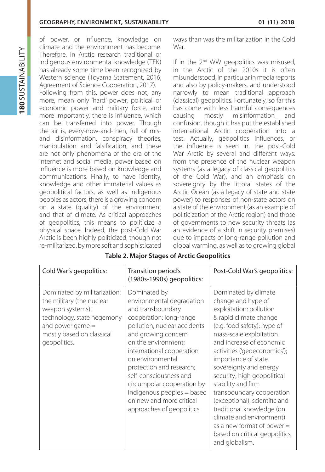of power, or influence, knowledge on climate and the environment has become. Therefore, in Arctic research traditional or indigenous environmental knowledge (TEK) has already some time been recognized by Western science (Toyama Statement, 2016; Agreement of Science Cooperation, 2017).

Following from this, power does not, any more, mean only 'hard' power, political or economic power and military force, and more importantly, there is influence, which can be transferred into power. Though the air is, every-now-and-then, full of misand disinformation, conspiracy theories, manipulation and falsification, and these are not only phenomena of the era of the internet and social media, power based on influence is more based on knowledge and communications. Finally, to have identity, knowledge and other immaterial values as geopolitical factors, as well as indigenous peoples as actors, there is a growing concern on a state (quality) of the environment and that of climate. As critical approaches of geopolitics, this means to politicize a physical space. Indeed, the post-Cold War Arctic is been highly politicized, though not re-militarized, by more soft and sophisticated ways than was the militarization in the Cold War.

If in the 2<sup>nd</sup> WW geopolitics was misused, in the Arctic of the 2010s it is often misunderstood, in particular in media reports and also by policy-makers, and understood narrowly to mean traditional approach (classical) geopolitics. Fortunately, so far this has come with less harmful consequences causing mostly misinformation and confusion, though it has put the established international Arctic cooperation into a test. Actually, geopolitics influences, or the influence is seen in, the post-Cold War Arctic by several and different ways: from the presence of the nuclear weapon systems (as a legacy of classical geopolitics of the Cold War), and an emphasis on sovereignty by the littoral states of the Arctic Ocean (as a legacy of state and state power) to responses of non-state actors on a state of the environment (as an example of politicization of the Arctic region) and those of governments to new security threats (as an evidence of a shift in security premises) due to impacts of long-range pollution and global warming, as well as to growing global

| Cold War's geopolitics:                                                                                                                                                        | Transition period's<br>(1980s-1990s) geopolitics:                                                                                                                                                                                                                                                                                                                                                    | Post-Cold War's geopolitics:                                                                                                                                                                                                                                                                                                                                                                                                                                                                                                          |
|--------------------------------------------------------------------------------------------------------------------------------------------------------------------------------|------------------------------------------------------------------------------------------------------------------------------------------------------------------------------------------------------------------------------------------------------------------------------------------------------------------------------------------------------------------------------------------------------|---------------------------------------------------------------------------------------------------------------------------------------------------------------------------------------------------------------------------------------------------------------------------------------------------------------------------------------------------------------------------------------------------------------------------------------------------------------------------------------------------------------------------------------|
| Dominated by militarization:<br>the military (the nuclear<br>weapon systems);<br>technology, state hegemony<br>and power game $=$<br>mostly based on classical<br>geopolitics. | Dominated by<br>environmental degradation<br>and transboundary<br>cooperation: long-range<br>pollution, nuclear accidents<br>and growing concern<br>on the environment;<br>international cooperation<br>on environmental<br>protection and research;<br>self-consciousness and<br>circumpolar cooperation by<br>Indigenous peoples = based<br>on new and more critical<br>approaches of geopolitics. | Dominated by climate<br>change and hype of<br>exploitation: pollution<br>& rapid climate change<br>(e.g. food safety); hype of<br>mass-scale exploitation<br>and increase of economic<br>activities ('geoeconomics');<br>importance of state<br>sovereignty and energy<br>security; high geopolitical<br>stability and firm<br>transboundary cooperation<br>(exceptional); scientific and<br>traditional knowledge (on<br>climate and environment)<br>as a new format of power $=$<br>based on critical geopolitics<br>and globalism. |

#### **Table 2. Major Stages of Arctic Geopolitics**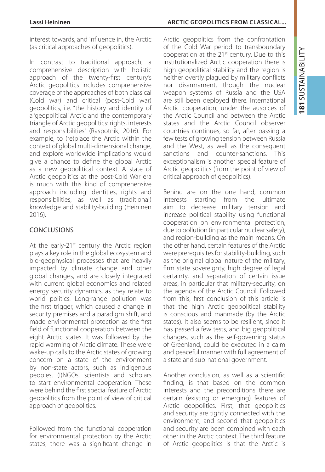interest towards, and influence in, the Arctic (as critical approaches of geopolitics).

In contrast to traditional approach, a comprehensive description with holistic approach of the twenty-first century's Arctic geopolitics includes comprehensive coverage of the approaches of both classical (Cold war) and critical (post-Cold war) geopolitics, i.e. "the history and identity of a 'geopolitical' Arctic and the contemporary triangle of Arctic geopolitics: rights, interests and responsibilities" (Raspotnik, 2016). For example, to (re)place the Arctic within the context of global multi-dimensional change, and explore worldwide implications would give a chance to define the global Arctic as a new geopolitical context. A state of Arctic geopolitics at the post-Cold War era is much with this kind of comprehensive approach including identities, rights and responsibilities, as well as (traditional) knowledge and stability-building (Heininen 2016).

# Conclusions

At the early-21<sup>st</sup> century the Arctic region plays a key role in the global ecosystem and bio-geophysical processes that are heavily impacted by climate change and other global changes, and are closely integrated with current global economics and related energy security dynamics, as they relate to world politics. Long-range pollution was the first trigger, which caused a change in security premises and a paradigm shift, and made environmental protection as the first field of functional cooperation between the eight Arctic states. It was followed by the rapid warming of Arctic climate. These were wake-up calls to the Arctic states of growing concern on a state of the environment by non-state actors, such as indigenous peoples, (I)NGOs, scientists and scholars to start environmental cooperation. These were behind the first special feature of Arctic geopolitics from the point of view of critical approach of geopolitics.

Followed from the functional cooperation for environmental protection by the Arctic states, there was a significant change in

#### **Lassi Heininen Arctic Geopolitics from classical...**

Arctic geopolitics from the confrontation of the Cold War period to transboundary cooperation at the 21st century. Due to this institutionalized Arctic cooperation there is high geopolitical stability and the region is neither overtly plagued by military conflicts nor disarmament, though the nuclear weapon systems of Russia and the USA are still been deployed there. International Arctic cooperation, under the auspices of the Arctic Council and between the Arctic states and the Arctic Council observer countries continues, so far, after passing a few tests of growing tension between Russia and the West, as well as the consequent sanctions and counter-sanctions. This exceptionalism is another special feature of Arctic geopolitics (from the point of view of critical approach of geopolitics).

Behind are on the one hand, common interests starting from the ultimate aim to decrease military tension and increase political stability using functional cooperation on environmental protection, due to pollution (in particular nuclear safety), and region-building as the main means. On the other hand, certain features of the Arctic were prerequisites for stability-building, such as the original global nature of the military, firm state sovereignty, high degree of legal certainty, and separation of certain issue areas, in particular that military-security, on the agenda of the Arctic Council. Followed from this, first conclusion of this article is that the high Arctic geopolitical stability is conscious and manmade (by the Arctic states). It also seems to be resilient, since it has passed a few tests, and big geopolitical changes, such as the self-governing status of Greenland, could be executed in a calm and peaceful manner with full agreement of a state and sub-national government.

Another conclusion, as well as a scientific finding, is that based on the common interests and the preconditions there are certain (existing or emerging) features of Arctic geopolitics: First, that geopolitics and security are tightly connected with the environment, and second that geopolitics and security are been combined with each other in the Arctic context. The third feature of Arctic geopolitics is that the Arctic is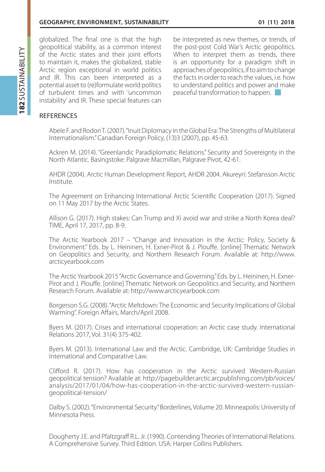globalized. The final one is that the high geopolitical stability, as a common interest of the Arctic states and their joint efforts to maintain it, makes the globalized, stable Arctic region exceptional in world politics and IR. This can been interpreted as a potential asset to (re)formulate world politics of turbulent times and with 'uncommon instability' and IR. These special features can

be interpreted as new themes, or trends, of the post-post Cold War's Arctic geopolitics. When to interpret them as trends, there is an opportunity for a paradigm shift in approaches of geopolitics, if to aim to change the facts in order to reach the values, i.e. how to understand politics and power and make peaceful transformation to happen.

# **REFERENCES**

Abele F. and Rodon T. (2007). "Inuit Diplomacy in the Global Era: The Strengths of Multilateral Internationalism." Canadian Foreign Policy, (13)3 (2007), pp. 45-63.

Ackren M. (2014). "Greenlandic Paradiplomatic Relations." Security and Sovereignty in the North Atlantic. Basingstoke: Palgrave Macmillan, Palgrave Pivot, 42-61.

AHDR (2004). Arctic Human Development Report, AHDR 2004. Akureyri: Stefansson Arctic Institute.

The Agreement on Enhancing International Arctic Scientific Cooperation (2017). Signed on 11 May 2017 by the Arctic States.

Allison G. (2017). High stakes: Can Trump and Xi avoid war and strike a North Korea deal? TIME, April 17, 2017, pp. 8-9.

The Arctic Yearbook 2017 – "Change and Innovation in the Arctic: Policy, Society & Environment." Eds. by L. Heininen, H. Exner-Pirot & J. Plouffe. [online] Thematic Network on Geopolitics and Security, and Northern Research Forum. Available at: http://www. arcticyearbook.com

The Arctic Yearbook 2015 "Arctic Governance and Governing." Eds. by L. Heininen, H. Exner-Pirot and J. Plouffe. [online] Thematic Network on Geopolitics and Security, and Northern Research Forum. Available at: http://www.arcticyearbook.com

Borgerson S.G. (2008). "Arctic Meltdown: The Economic and Security Implications of Global Warming". Foreign Affairs, March/April 2008.

Byers M. (2017). Crises and international cooperation: an Arctic case study. International Relations 2017, Vol. 31(4) 375-402.

Byers M. (2013). International Law and the Arctic. Cambridge, UK: Cambridge Studies in International and Comparative Law.

Clifford R. (2017). How has cooperation in the Arctic survived Western-Russian geopolitical tension? Available at: http://pagebuilder.arctic.arcpublishing.com/pb/voices/ analysis/2017/01/04/how-has-cooperation-in-the-arctic-survived-western-russiangeopolitical-tension/

Dalby S. (2002). "Environmental Security." Borderlines, Volume 20. Minneapolis: University of Minnesota Press.

Dougherty J.E. and Pfaltzgraff R.L. Jr. (1990). Contending Theories of International Relations. A Comprehensive Survey. Third Edition. USA: Harper Collins Publishers.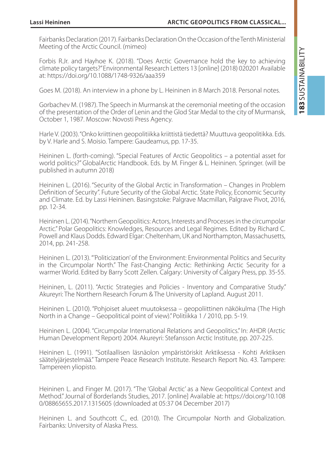Fairbanks Declaration (2017). Fairbanks Declaration On the Occasion of the Tenth Ministerial Meeting of the Arctic Council. (mimeo)

Forbis R.Jr. and Hayhoe K. (2018). "Does Arctic Governance hold the key to achieving climate policy targets?" Environmental Research Letters 13 [online] (2018) 020201 Available at: https://doi.org/10.1088/1748-9326/aaa359

Goes M. (2018). An interview in a phone by L. Heininen in 8 March 2018. Personal notes.

Gorbachev M. (1987). The Speech in Murmansk at the ceremonial meeting of the occasion of the presentation of the Order of Lenin and the Glod Star Medal to the city of Murmansk, October 1, 1987. Moscow: Novosti Press Agency.

Harle V. (2003). "Onko kriittinen geopolitiikka kriittistä tiedettä? Muuttuva geopolitikka. Eds. by V. Harle and S. Moisio. Tampere: Gaudeamus, pp. 17-35.

Heininen L. (forth-coming). "Special Features of Arctic Geopolitics – a potential asset for world politics?" GlobalArctic Handbook. Eds. by M. Finger & L. Heininen. Springer. (will be published in autumn 2018)

Heininen L. (2016). "Security of the Global Arctic in Transformation – Changes in Problem Definition of Security". Future Security of the Global Arctic. State Policy, Economic Security and Climate. Ed. by Lassi Heininen. Basingstoke: Palgrave Macmillan, Palgrave Pivot, 2016, pp. 12-34.

Heininen L. (2014). "Northern Geopolitics: Actors, Interests and Processes in the circumpolar Arctic." Polar Geopolitics: Knowledges, Resources and Legal Regimes. Edited by Richard C. Powell and Klaus Dodds. Edward Elgar: Cheltenham, UK and Northampton, Massachusetts, 2014, pp. 241-258.

Heininen L. (2013). "'Politicization' of the Environment: Environmental Politics and Security in the Circumpolar North." The Fast-Changing Arctic: Rethinking Arctic Security for a warmer World. Edited by Barry Scott Zellen. Calgary: University of Calgary Press, pp. 35-55.

Heininen, L. (2011). "Arctic Strategies and Policies - Inventory and Comparative Study." Akureyri: The Northern Research Forum & The University of Lapland. August 2011.

Heininen L. (2010). "Pohjoiset alueet muutoksessa – geopoliittinen näkökulma (The High North in a Change – Geopolitical point of view)." Politiikka 1 / 2010, pp. 5-19.

Heininen L. (2004). "Circumpolar International Relations and Geopolitics." In: AHDR (Arctic Human Development Report) 2004. Akureyri: Stefansson Arctic Institute, pp. 207-225.

Heininen L. (1991). "Sotilaallisen läsnäolon ympäristöriskit Arktiksessa - Kohti Arktiksen säätelyjärjestelmää." Tampere Peace Research Institute. Research Report No. 43. Tampere: Tampereen yliopisto.

Heininen L. and Finger M. (2017). "The 'Global Arctic' as a New Geopolitical Context and Method." Journal of Borderlands Studies, 2017. [online] Available at: https://doi.org/10.108 0/08865655.2017.1315605 (downloaded at 05:37 04 December 2017)

Heininen L. and Southcott C., ed. (2010). The Circumpolar North and Globalization. Fairbanks: University of Alaska Press.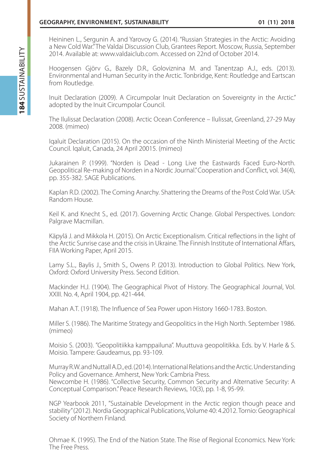Heininen L., Sergunin A. and Yarovoy G. (2014). "Russian Strategies in the Arctic: Avoiding a New Cold War." The Valdai Discussion Club, Grantees Report. Moscow, Russia, September 2014. Available at: www.valdaiclub.com. Accessed on 22nd of October 2014.

Hoogensen Gjörv G., Bazely D.R., Goloviznina M. and Tanentzap A.J., eds. (2013). Environmental and Human Security in the Arctic. Tonbridge, Kent: Routledge and Eartscan from Routledge.

Inuit Declaration (2009). A Circumpolar Inuit Declaration on Sovereignty in the Arctic." adopted by the Inuit Circumpolar Council.

The Ilulissat Declaration (2008). Arctic Ocean Conference – Ilulissat, Greenland, 27-29 May 2008. (mimeo)

Iqaluit Declaration (2015). On the occasion of the Ninth Ministerial Meeting of the Arctic Council. Iqaluit, Canada, 24 April 20015. (mimeo)

Jukarainen P. (1999). "Norden is Dead - Long Live the Eastwards Faced Euro-North. Geopolitical Re-making of Norden in a Nordic Journal." Cooperation and Conflict, vol. 34(4), pp. 355-382. SAGE Publications.

Kaplan R.D. (2002). The Coming Anarchy. Shattering the Dreams of the Post Cold War. USA: Random House.

Keil K. and Knecht S., ed. (2017). Governing Arctic Change. Global Perspectives. London: Palgrave Macmillan.

Käpylä J. and Mikkola H. (2015). On Arctic Exceptionalism. Critical reflections in the light of the Arctic Sunrise case and the crisis in Ukraine. The Finnish Institute of International Affars, FIIA Working Paper, April 2015.

Lamy S.L., Baylis J., Smith S., Owens P. (2013). Introduction to Global Politics. New York, Oxford: Oxford University Press. Second Edition.

Mackinder H.J. (1904). The Geographical Pivot of History. The Geographical Journal, Vol. XXIII. No. 4, April 1904, pp. 421-444.

Mahan A.T. (1918). The Influence of Sea Power upon History 1660-1783. Boston.

Miller S. (1986). The Maritime Strategy and Geopolitics in the High North. September 1986. (mimeo)

Moisio S. (2003). "Geopolitiikka kamppailuna". Muuttuva geopolitikka. Eds. by V. Harle & S. Moisio. Tampere: Gaudeamus, pp. 93-109.

Murray R.W. and Nuttall A.D., ed. (2014). International Relations and the Arctic. Understanding Policy and Governance. Amherst, New York: Cambria Press. Newcombe H. (1986). "Collective Security, Common Security and Alternative Security: A Conceptual Comparison." Peace Research Reviews, 10(3), pp. 1-8, 95-99.

NGP Yearbook 2011, "Sustainable Development in the Arctic region though peace and stability" (2012). Nordia Geographical Publications, Volume 40: 4.2012. Tornio: Geographical Society of Northern Finland.

Ohmae K. (1995). The End of the Nation State. The Rise of Regional Economics. New York: The Free Press.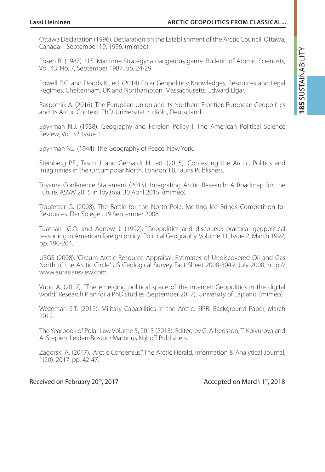Ottawa Declaration (1996). Declaration on the Establishment of the Arctic Council. Ottawa, Canada – September 19, 1996. (mimeo)

Posen B. (1987). U.S. Maritime Strategy: a dangerous game. Bulletin of Atomic Scientists, Vol. 43. No. 7, September 1987, pp. 24-29.

Powell R.C. and Dodds K., ed. (2014) Polar Geopolitics: Knowledges, Resources and Legal Regimes. Cheltenham, UK and Northampton, Massachusetts: Edward Elgar.

Raspotnik A. (2016). The European Union and its Northern Frontier: European Geopolitics and its Arctic Context. PhD. Universität zu Köln, Deutscland.

Spykman N.J. (1938). Geography and Foreign Policy I. The American Political Science Review, Vol. 32, Issue 1.

Spykman N.J. (1944). The Geography of Peace. New York.

Steinberg P.E., Tasch J. and Gerhardt H., ed. (2015). Contesting the Arctic, Politics and imaginaries in the Circumpolar North. London: I.B. Tauris Publishers.

Toyama Conference Statement (2015). Integrating Arctic Research: A Roadmap for the Future. ASSW 2015 in Toyama, 30 April 2015. (mimeo)

Traufetter G. (2008). The Battle for the North Pole. Melting Ice Brings Competition for Resources. Der Spiegel, 19 September 2008.

Tuathail G.O. and Agnew J. (1992). "Geopolitics and discourse: practical geopolitical reasoning in American foreign policy." Political Geography, Volume 11, Issue 2, March 1992, pp. 190-204.

USGS (2008). 'Circum-Arctic Resource Appraisal: Estimates of Undiscovered Oil and Gas North of the Arctic Circle.' US Geological Survey Fact Sheet 2008-3049. July 2008, http:// www.eurasiareview.com

Vuori A. (2017). "The emerging political space of the internet: Geopolitics in the digital world." Research Plan for a PhD studies (September 2017). University of Lapland. (mimeo)

Wezeman S.T. (2012). Military Capabilities in the Arctic. SIPRI Background Paper, March 2012.

The Yearbook of Polar Law Volume 5, 2013 (2013). Edited by G. Alfredsson, T. Koivurova and A. Stepien. Leiden-Boston: Martinus Nijhoff Publishers.

Zagorski A. (2017). "Arctic Consensus." The Arctic Herald, Information & Analytical Journal, 1(20). 2017, pp. 42-47.

#### Received on February 20<sup>th</sup>, 2017 Accepted on March 1st, 2018